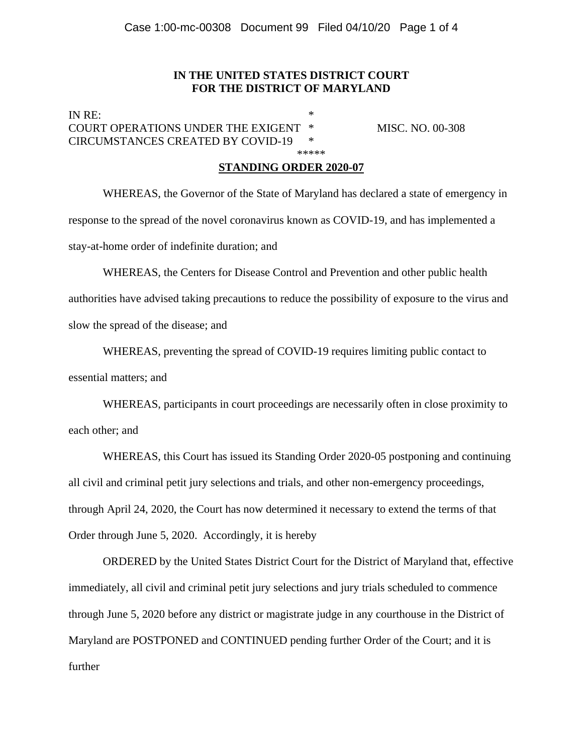### **IN THE UNITED STATES DISTRICT COURT FOR THE DISTRICT OF MARYLAND**

IN RE: COURT OPERATIONS UNDER THE EXIGENT \* MISC. NO. 00-308 CIRCUMSTANCES CREATED BY COVID-19 \* \*\*\*\*\*\*

### **STANDING ORDER 2020-07**

 WHEREAS, the Governor of the State of Maryland has declared a state of emergency in response to the spread of the novel coronavirus known as COVID-19, and has implemented a stay-at-home order of indefinite duration; and

 WHEREAS, the Centers for Disease Control and Prevention and other public health authorities have advised taking precautions to reduce the possibility of exposure to the virus and slow the spread of the disease; and

 WHEREAS, preventing the spread of COVID-19 requires limiting public contact to essential matters; and

WHEREAS, participants in court proceedings are necessarily often in close proximity to each other; and

WHEREAS, this Court has issued its Standing Order 2020-05 postponing and continuing all civil and criminal petit jury selections and trials, and other non-emergency proceedings, through April 24, 2020, the Court has now determined it necessary to extend the terms of that Order through June 5, 2020. Accordingly, it is hereby

 ORDERED by the United States District Court for the District of Maryland that, effective immediately, all civil and criminal petit jury selections and jury trials scheduled to commence through June 5, 2020 before any district or magistrate judge in any courthouse in the District of Maryland are POSTPONED and CONTINUED pending further Order of the Court; and it is further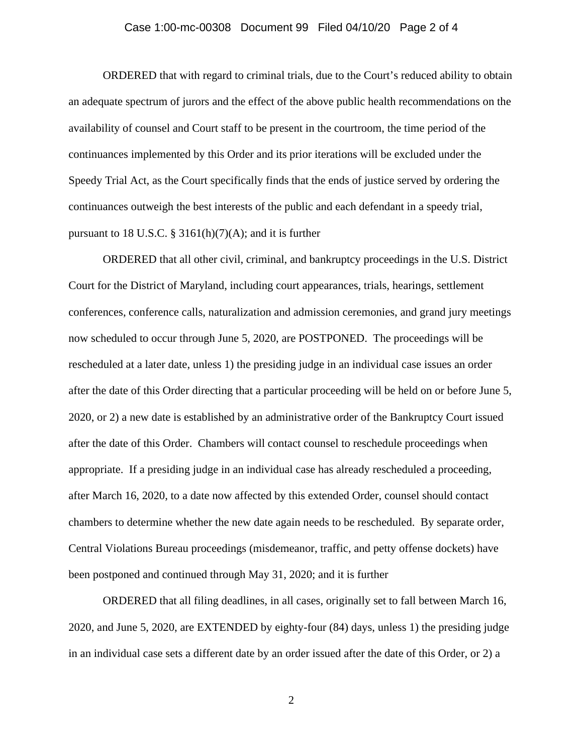#### Case 1:00-mc-00308 Document 99 Filed 04/10/20 Page 2 of 4

 ORDERED that with regard to criminal trials, due to the Court's reduced ability to obtain an adequate spectrum of jurors and the effect of the above public health recommendations on the availability of counsel and Court staff to be present in the courtroom, the time period of the continuances implemented by this Order and its prior iterations will be excluded under the Speedy Trial Act, as the Court specifically finds that the ends of justice served by ordering the continuances outweigh the best interests of the public and each defendant in a speedy trial, pursuant to 18 U.S.C. § 3161(h)(7)(A); and it is further

ORDERED that all other civil, criminal, and bankruptcy proceedings in the U.S. District Court for the District of Maryland, including court appearances, trials, hearings, settlement conferences, conference calls, naturalization and admission ceremonies, and grand jury meetings now scheduled to occur through June 5, 2020, are POSTPONED. The proceedings will be rescheduled at a later date, unless 1) the presiding judge in an individual case issues an order after the date of this Order directing that a particular proceeding will be held on or before June 5, 2020, or 2) a new date is established by an administrative order of the Bankruptcy Court issued after the date of this Order. Chambers will contact counsel to reschedule proceedings when appropriate. If a presiding judge in an individual case has already rescheduled a proceeding, after March 16, 2020, to a date now affected by this extended Order, counsel should contact chambers to determine whether the new date again needs to be rescheduled. By separate order, Central Violations Bureau proceedings (misdemeanor, traffic, and petty offense dockets) have been postponed and continued through May 31, 2020; and it is further

ORDERED that all filing deadlines, in all cases, originally set to fall between March 16, 2020, and June 5, 2020, are EXTENDED by eighty-four (84) days, unless 1) the presiding judge in an individual case sets a different date by an order issued after the date of this Order, or 2) a

2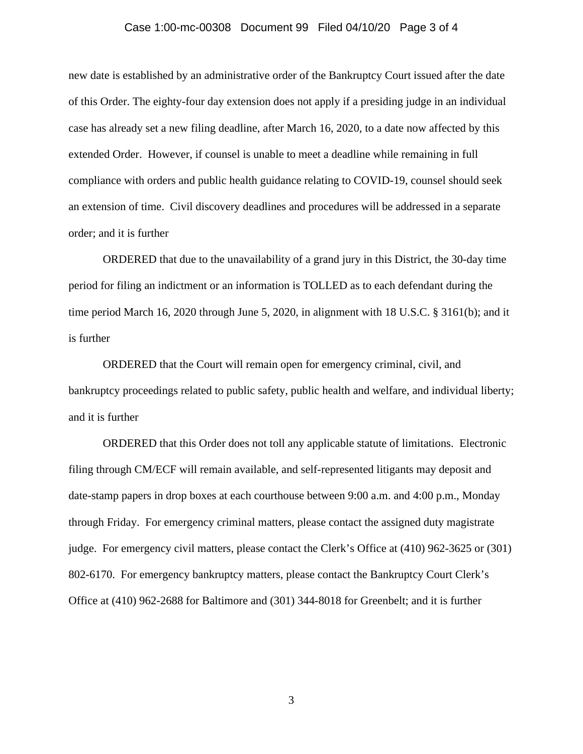#### Case 1:00-mc-00308 Document 99 Filed 04/10/20 Page 3 of 4

new date is established by an administrative order of the Bankruptcy Court issued after the date of this Order. The eighty-four day extension does not apply if a presiding judge in an individual case has already set a new filing deadline, after March 16, 2020, to a date now affected by this extended Order. However, if counsel is unable to meet a deadline while remaining in full compliance with orders and public health guidance relating to COVID-19, counsel should seek an extension of time. Civil discovery deadlines and procedures will be addressed in a separate order; and it is further

ORDERED that due to the unavailability of a grand jury in this District, the 30-day time period for filing an indictment or an information is TOLLED as to each defendant during the time period March 16, 2020 through June 5, 2020, in alignment with 18 U.S.C. § 3161(b); and it is further

ORDERED that the Court will remain open for emergency criminal, civil, and bankruptcy proceedings related to public safety, public health and welfare, and individual liberty; and it is further

ORDERED that this Order does not toll any applicable statute of limitations. Electronic filing through CM/ECF will remain available, and self-represented litigants may deposit and date-stamp papers in drop boxes at each courthouse between 9:00 a.m. and 4:00 p.m., Monday through Friday. For emergency criminal matters, please contact the assigned duty magistrate judge. For emergency civil matters, please contact the Clerk's Office at (410) 962-3625 or (301) 802-6170. For emergency bankruptcy matters, please contact the Bankruptcy Court Clerk's Office at (410) 962-2688 for Baltimore and (301) 344-8018 for Greenbelt; and it is further

3